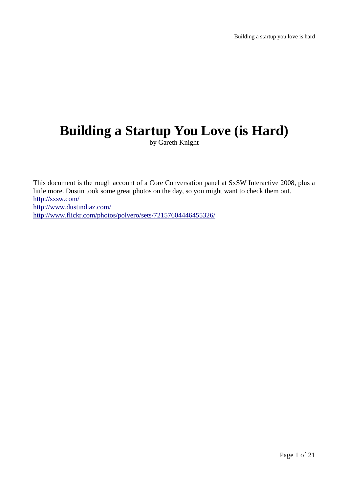# **Building a Startup You Love (is Hard)**

by Gareth Knight

This document is the rough account of a Core Conversation panel at SxSW Interactive 2008, plus a little more. Dustin took some great photos on the day, so you might want to check them out. <http://sxsw.com/> <http://www.dustindiaz.com/> <http://www.flickr.com/photos/polvero/sets/72157604446455326/>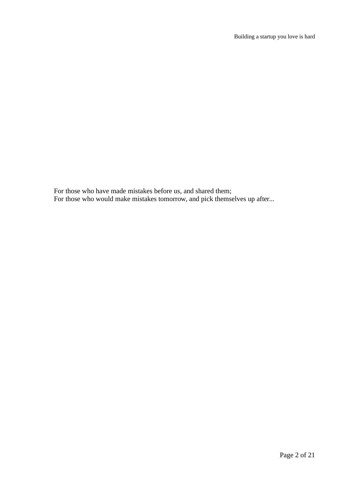For those who have made mistakes before us, and shared them; For those who would make mistakes tomorrow, and pick themselves up after...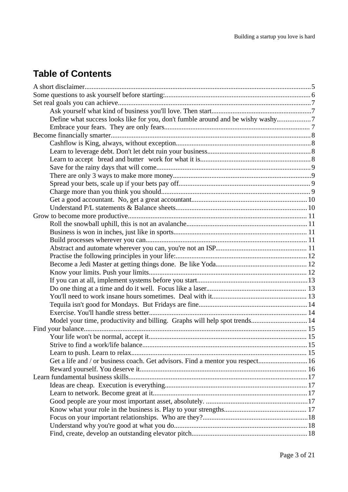## **Table of Contents**

| Define what success looks like for you, don't fumble around and be wishy washy7 |  |
|---------------------------------------------------------------------------------|--|
|                                                                                 |  |
|                                                                                 |  |
|                                                                                 |  |
|                                                                                 |  |
|                                                                                 |  |
|                                                                                 |  |
|                                                                                 |  |
|                                                                                 |  |
|                                                                                 |  |
|                                                                                 |  |
|                                                                                 |  |
|                                                                                 |  |
|                                                                                 |  |
|                                                                                 |  |
|                                                                                 |  |
|                                                                                 |  |
|                                                                                 |  |
|                                                                                 |  |
|                                                                                 |  |
|                                                                                 |  |
|                                                                                 |  |
|                                                                                 |  |
|                                                                                 |  |
|                                                                                 |  |
| Model your time, productivity and billing. Graphs will help spot trends 14      |  |
|                                                                                 |  |
|                                                                                 |  |
|                                                                                 |  |
|                                                                                 |  |
| Get a life and / or business coach. Get advisors. Find a mentor you respect 16  |  |
|                                                                                 |  |
|                                                                                 |  |
|                                                                                 |  |
|                                                                                 |  |
|                                                                                 |  |
|                                                                                 |  |
|                                                                                 |  |
|                                                                                 |  |
|                                                                                 |  |
|                                                                                 |  |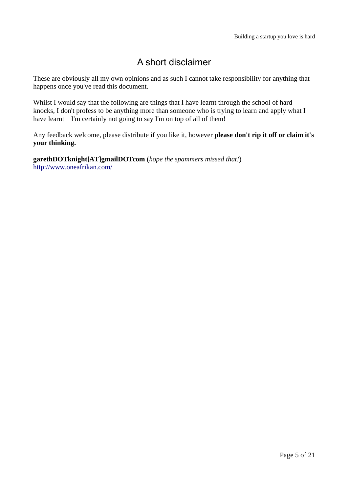## A short disclaimer

These are obviously all my own opinions and as such I cannot take responsibility for anything that happens once you've read this document.

Whilst I would say that the following are things that I have learnt through the school of hard knocks, I don't profess to be anything more than someone who is trying to learn and apply what I have learnt I'm certainly not going to say I'm on top of all of them!

Any feedback welcome, please distribute if you like it, however **please don't rip it off or claim it's your thinking.**

**garethDOTknight[AT]gmailDOTcom** (*hope the spammers missed that!*) <http://www.oneafrikan.com/>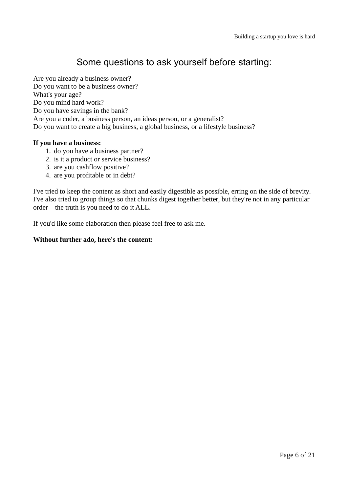## Some questions to ask yourself before starting:

Are you already a business owner? Do you want to be a business owner? What's your age? Do you mind hard work? Do you have savings in the bank? Are you a coder, a business person, an ideas person, or a generalist? Do you want to create a big business, a global business, or a lifestyle business?

#### **If you have a business:**

- 1. do you have a business partner?
- 2. is it a product or service business?
- 3. are you cashflow positive?
- 4. are you profitable or in debt?

I've tried to keep the content as short and easily digestible as possible, erring on the side of brevity. I've also tried to group things so that chunks digest together better, but they're not in any particular order the truth is you need to do it ALL.

If you'd like some elaboration then please feel free to ask me.

#### **Without further ado, here's the content:**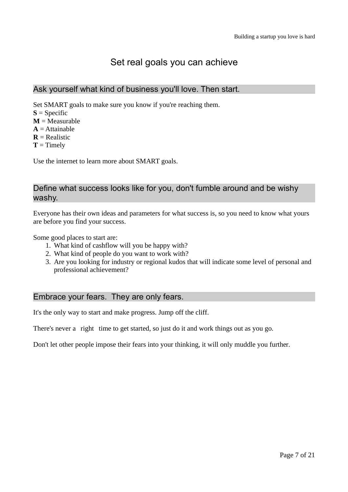## Set real goals you can achieve

## Ask yourself what kind of business you'll love. Then start.

Set SMART goals to make sure you know if you're reaching them.

- $S = Specific$
- $M = Measurable$
- $A = Attainable$
- $R =$ Realistic
- $T =$ Timely

Use the internet to learn more about SMART goals.

## Define what success looks like for you, don't fumble around and be wishy washy.

Everyone has their own ideas and parameters for what success is, so you need to know what yours are before you find your success.

Some good places to start are:

- 1. What kind of cashflow will you be happy with?
- 2. What kind of people do you want to work with?
- 3. Are you looking for industry or regional kudos that will indicate some level of personal and professional achievement?

## Embrace your fears. They are only fears.

It's the only way to start and make progress. Jump off the cliff.

There's never a right time to get started, so just do it and work things out as you go.

Don't let other people impose their fears into your thinking, it will only muddle you further.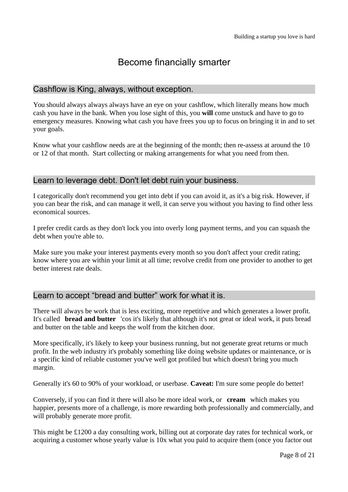## Become financially smarter

## Cashflow is King, always, without exception.

You should always always always have an eye on your cashflow, which literally means how much cash you have in the bank. When you lose sight of this, you **will** come unstuck and have to go to emergency measures. Knowing what cash you have frees you up to focus on bringing it in and to set your goals.

Know what your cashflow needs are at the beginning of the month; then re-assess at around the 10 or 12 of that month. Start collecting or making arrangements for what you need from then.

## Learn to leverage debt. Don't let debt ruin your business.

I categorically don't recommend you get into debt if you can avoid it, as it's a big risk. However, if you can bear the risk, and can manage it well, it can serve you without you having to find other less economical sources.

I prefer credit cards as they don't lock you into overly long payment terms, and you can squash the debt when you're able to.

Make sure you make your interest payments every month so you don't affect your credit rating; know where you are within your limit at all time; revolve credit from one provider to another to get better interest rate deals.

## Learn to accept "bread and butter" work for what it is.

There will always be work that is less exciting, more repetitive and which generates a lower profit. It's called **bread and butter** 'cos it's likely that although it's not great or ideal work, it puts bread and butter on the table and keeps the wolf from the kitchen door.

More specifically, it's likely to keep your business running, but not generate great returns or much profit. In the web industry it's probably something like doing website updates or maintenance, or is a specific kind of reliable customer you've well got profiled but which doesn't bring you much margin.

Generally it's 60 to 90% of your workload, or userbase. **Caveat:** I'm sure some people do better!

Conversely, if you can find it there will also be more ideal work, or **cream** which makes you happier, presents more of a challenge, is more rewarding both professionally and commercially, and will probably generate more profit.

This might be £1200 a day consulting work, billing out at corporate day rates for technical work, or acquiring a customer whose yearly value is 10x what you paid to acquire them (once you factor out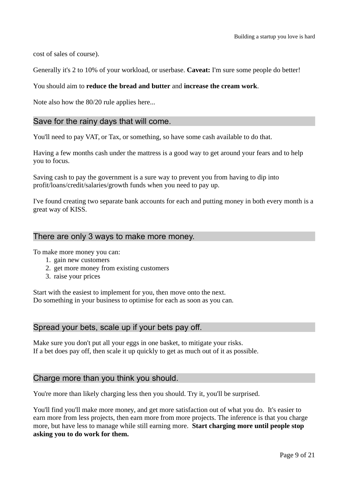cost of sales of course).

Generally it's 2 to 10% of your workload, or userbase. **Caveat:** I'm sure some people do better!

#### You should aim to **reduce the bread and butter** and **increase the cream work**.

Note also how the 80/20 rule applies here...

## Save for the rainy days that will come.

You'll need to pay VAT, or Tax, or something, so have some cash available to do that.

Having a few months cash under the mattress is a good way to get around your fears and to help you to focus.

Saving cash to pay the government is a sure way to prevent you from having to dip into profit/loans/credit/salaries/growth funds when you need to pay up.

I've found creating two separate bank accounts for each and putting money in both every month is a great way of KISS.

## There are only 3 ways to make more money.

To make more money you can:

- 1. gain new customers
- 2. get more money from existing customers
- 3. raise your prices

Start with the easiest to implement for you, then move onto the next. Do something in your business to optimise for each as soon as you can.

#### Spread your bets, scale up if your bets pay off.

Make sure you don't put all your eggs in one basket, to mitigate your risks. If a bet does pay off, then scale it up quickly to get as much out of it as possible.

#### Charge more than you think you should.

You're more than likely charging less then you should. Try it, you'll be surprised.

You'll find you'll make more money, and get more satisfaction out of what you do. It's easier to earn more from less projects, then earn more from more projects. The inference is that you charge more, but have less to manage while still earning more. **Start charging more until people stop asking you to do work for them.**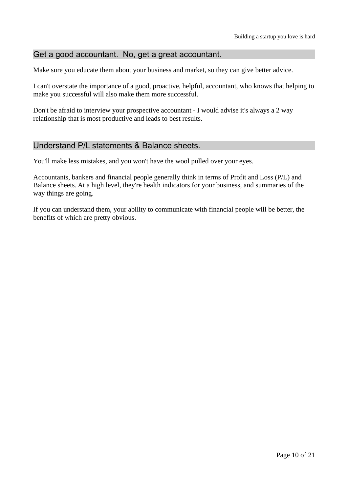## Get a good accountant. No, get a great accountant.

Make sure you educate them about your business and market, so they can give better advice.

I can't overstate the importance of a good, proactive, helpful, accountant, who knows that helping to make you successful will also make them more successful.

Don't be afraid to interview your prospective accountant - I would advise it's always a 2 way relationship that is most productive and leads to best results.

## Understand P/L statements & Balance sheets.

You'll make less mistakes, and you won't have the wool pulled over your eyes.

Accountants, bankers and financial people generally think in terms of Profit and Loss (P/L) and Balance sheets. At a high level, they're health indicators for your business, and summaries of the way things are going.

If you can understand them, your ability to communicate with financial people will be better, the benefits of which are pretty obvious.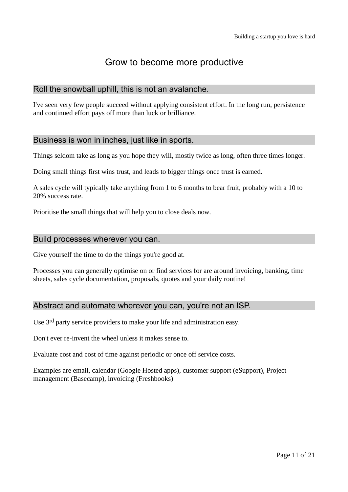## Grow to become more productive

## Roll the snowball uphill, this is not an avalanche.

I've seen very few people succeed without applying consistent effort. In the long run, persistence and continued effort pays off more than luck or brilliance.

## Business is won in inches, just like in sports.

Things seldom take as long as you hope they will, mostly twice as long, often three times longer.

Doing small things first wins trust, and leads to bigger things once trust is earned.

A sales cycle will typically take anything from 1 to 6 months to bear fruit, probably with a 10 to 20% success rate.

Prioritise the small things that will help you to close deals now.

#### Build processes wherever you can.

Give yourself the time to do the things you're good at.

Processes you can generally optimise on or find services for are around invoicing, banking, time sheets, sales cycle documentation, proposals, quotes and your daily routine!

## Abstract and automate wherever you can, you're not an ISP.

Use 3rd party service providers to make your life and administration easy.

Don't ever re-invent the wheel unless it makes sense to.

Evaluate cost and cost of time against periodic or once off service costs.

Examples are email, calendar (Google Hosted apps), customer support (eSupport), Project management (Basecamp), invoicing (Freshbooks)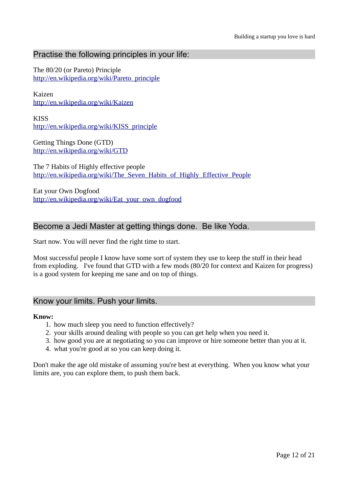## Practise the following principles in your life:

The 80/20 (or Pareto) Principle [http://en.wikipedia.org/wiki/Pareto\\_principle](http://en.wikipedia.org/wiki/Pareto_principle)

Kaizen <http://en.wikipedia.org/wiki/Kaizen>

**KISS** [http://en.wikipedia.org/wiki/KISS\\_principle](http://en.wikipedia.org/wiki/KISS_principle)

Getting Things Done (GTD) <http://en.wikipedia.org/wiki/GTD>

The 7 Habits of Highly effective people http://en.wikipedia.org/wiki/The Seven Habits of Highly Effective People

Eat your Own Dogfood [http://en.wikipedia.org/wiki/Eat\\_your\\_own\\_dogfood](http://en.wikipedia.org/wiki/Eat_your_own_dogfood)

## Become a Jedi Master at getting things done. Be like Yoda.

Start now. You will never find the right time to start.

Most successful people I know have some sort of system they use to keep the stuff in their head from exploding. I've found that GTD with a few mods (80/20 for context and Kaizen for progress) is a good system for keeping me sane and on top of things.

#### Know your limits. Push your limits.

#### **Know:**

- 1. how much sleep you need to function effectively?
- 2. your skills around dealing with people so you can get help when you need it.
- 3. how good you are at negotiating so you can improve or hire someone better than you at it.
- 4. what you're good at so you can keep doing it.

Don't make the age old mistake of assuming you're best at everything. When you know what your limits are, you can explore them, to push them back.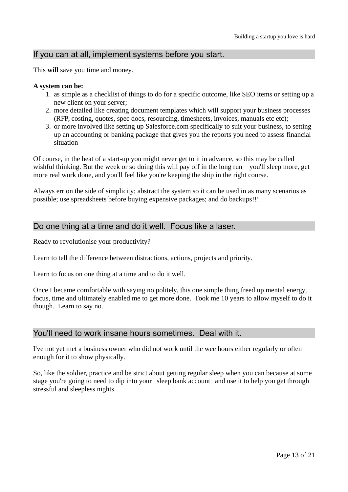## If you can at all, implement systems before you start.

This **will** save you time and money.

#### **A system can be:**

- 1. as simple as a checklist of things to do for a specific outcome, like SEO items or setting up a new client on your server;
- 2. more detailed like creating document templates which will support your business processes (RFP, costing, quotes, spec docs, resourcing, timesheets, invoices, manuals etc etc);
- 3. or more involved like setting up Salesforce.com specifically to suit your business, to setting up an accounting or banking package that gives you the reports you need to assess financial situation

Of course, in the heat of a start-up you might never get to it in advance, so this may be called wishful thinking. But the week or so doing this will pay off in the long run you'll sleep more, get more real work done, and you'll feel like you're keeping the ship in the right course.

Always err on the side of simplicity; abstract the system so it can be used in as many scenarios as possible; use spreadsheets before buying expensive packages; and do backups!!!

## Do one thing at a time and do it well. Focus like a laser.

Ready to revolutionise your productivity?

Learn to tell the difference between distractions, actions, projects and priority.

Learn to focus on one thing at a time and to do it well.

Once I became comfortable with saying no politely, this one simple thing freed up mental energy, focus, time and ultimately enabled me to get more done. Took me 10 years to allow myself to do it though. Learn to say no.

## You'll need to work insane hours sometimes. Deal with it.

I've not yet met a business owner who did not work until the wee hours either regularly or often enough for it to show physically.

So, like the soldier, practice and be strict about getting regular sleep when you can because at some stage you're going to need to dip into your sleep bank account and use it to help you get through stressful and sleepless nights.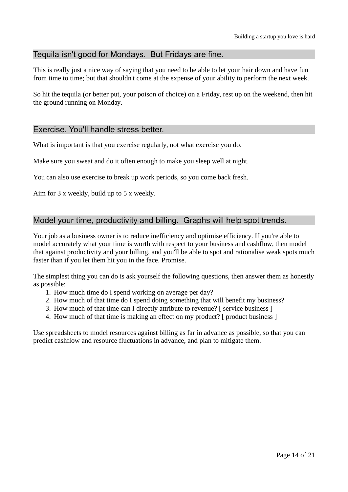## Tequila isn't good for Mondays. But Fridays are fine.

This is really just a nice way of saying that you need to be able to let your hair down and have fun from time to time; but that shouldn't come at the expense of your ability to perform the next week.

So hit the tequila (or better put, your poison of choice) on a Friday, rest up on the weekend, then hit the ground running on Monday.

## Exercise. You'll handle stress better.

What is important is that you exercise regularly, not what exercise you do.

Make sure you sweat and do it often enough to make you sleep well at night.

You can also use exercise to break up work periods, so you come back fresh.

Aim for 3 x weekly, build up to 5 x weekly.

## Model your time, productivity and billing. Graphs will help spot trends.

Your job as a business owner is to reduce inefficiency and optimise efficiency. If you're able to model accurately what your time is worth with respect to your business and cashflow, then model that against productivity and your billing, and you'll be able to spot and rationalise weak spots much faster than if you let them hit you in the face. Promise.

The simplest thing you can do is ask yourself the following questions, then answer them as honestly as possible:

- 1. How much time do I spend working on average per day?
- 2. How much of that time do I spend doing something that will benefit my business?
- 3. How much of that time can I directly attribute to revenue? [ service business ]
- 4. How much of that time is making an effect on my product? [ product business ]

Use spreadsheets to model resources against billing as far in advance as possible, so that you can predict cashflow and resource fluctuations in advance, and plan to mitigate them.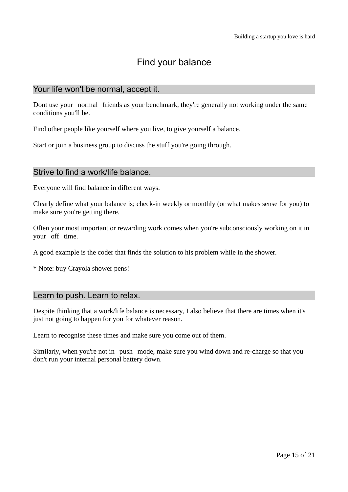## Find your balance

## Your life won't be normal, accept it.

Dont use your normal friends as your benchmark, they're generally not working under the same conditions you'll be.

Find other people like yourself where you live, to give yourself a balance.

Start or join a business group to discuss the stuff you're going through.

## Strive to find a work/life balance.

Everyone will find balance in different ways.

Clearly define what your balance is; check-in weekly or monthly (or what makes sense for you) to make sure you're getting there.

Often your most important or rewarding work comes when you're subconsciously working on it in your off time.

A good example is the coder that finds the solution to his problem while in the shower.

\* Note: buy Crayola shower pens!

## Learn to push. Learn to relax.

Despite thinking that a work/life balance is necessary, I also believe that there are times when it's just not going to happen for you for whatever reason.

Learn to recognise these times and make sure you come out of them.

Similarly, when you're not in push mode, make sure you wind down and re-charge so that you don't run your internal personal battery down.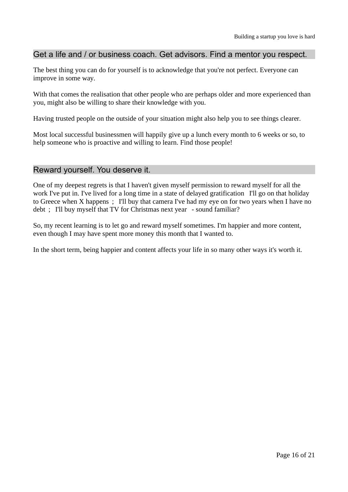## Get a life and / or business coach. Get advisors. Find a mentor you respect.

The best thing you can do for yourself is to acknowledge that you're not perfect. Everyone can improve in some way.

With that comes the realisation that other people who are perhaps older and more experienced than you, might also be willing to share their knowledge with you.

Having trusted people on the outside of your situation might also help you to see things clearer.

Most local successful businessmen will happily give up a lunch every month to 6 weeks or so, to help someone who is proactive and willing to learn. Find those people!

## Reward yourself. You deserve it.

One of my deepest regrets is that I haven't given myself permission to reward myself for all the work I've put in. I've lived for a long time in a state of delayed gratification I'll go on that holiday to Greece when X happens ; I'll buy that camera I've had my eye on for two years when I have no debt ; I'll buy myself that TV for Christmas next year - sound familiar?

So, my recent learning is to let go and reward myself sometimes. I'm happier and more content, even though I may have spent more money this month that I wanted to.

In the short term, being happier and content affects your life in so many other ways it's worth it.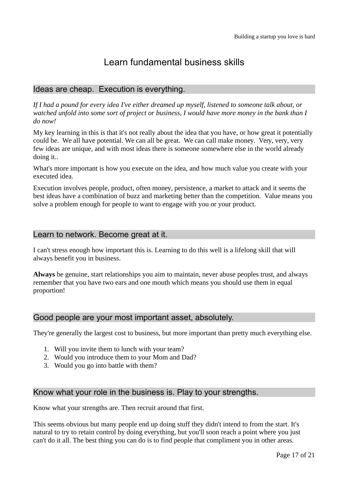## Learn fundamental business skills

## Ideas are cheap. Execution is everything.

*If I had a pound for every idea I've either dreamed up myself, listened to someone talk about, or watched unfold into some sort of project or business, I would have more money in the bank than I do now!*

My key learning in this is that it's not really about the idea that you have, or how great it potentially could be. We all have potential. We can all be great. We can call make money. Very, very, very few ideas are unique, and with most ideas there is someone somewhere else in the world already doing it..

What's more important is how you execute on the idea, and how much value you create with your executed idea.

Execution involves people, product, often money, persistence, a market to attack and it seems the best ideas have a combination of buzz and marketing better than the competition. Value means you solve a problem enough for people to want to engage with you or your product.

## Learn to network. Become great at it.

I can't stress enough how important this is. Learning to do this well is a lifelong skill that will always benefit you in business.

**Always** be genuine, start relationships you aim to maintain, never abuse peoples trust, and always remember that you have two ears and one mouth which means you should use them in equal proportion!

## Good people are your most important asset, absolutely.

They're generally the largest cost to business, but more important than pretty much everything else.

- 1. Will you invite them to lunch with your team?
- 2. Would you introduce them to your Mom and Dad?
- 3. Would you go into battle with them?

## Know what your role in the business is. Play to your strengths.

Know what your strengths are. Then recruit around that first.

This seems obvious but many people end up doing stuff they didn't intend to from the start. It's natural to try to retain control by doing everything, but you'll soon reach a point where you just can't do it all. The best thing you can do is to find people that compliment you in other areas.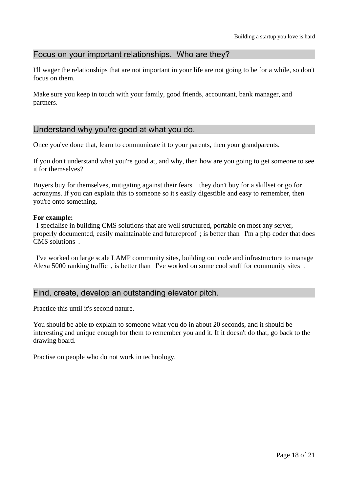## Focus on your important relationships. Who are they?

I'll wager the relationships that are not important in your life are not going to be for a while, so don't focus on them.

Make sure you keep in touch with your family, good friends, accountant, bank manager, and partners.

## Understand why you're good at what you do.

Once you've done that, learn to communicate it to your parents, then your grandparents.

If you don't understand what you're good at, and why, then how are you going to get someone to see it for themselves?

Buyers buy for themselves, mitigating against their fears they don't buy for a skillset or go for acronyms. If you can explain this to someone so it's easily digestible and easy to remember, then you're onto something.

#### **For example:**

I specialise in building CMS solutions that are well structured, portable on most any server, properly documented, easily maintainable and futureproof ; is better than I'm a php coder that does CMS solutions .

I've worked on large scale LAMP community sites, building out code and infrastructure to manage Alexa 5000 ranking traffic , is better than I've worked on some cool stuff for community sites .

## Find, create, develop an outstanding elevator pitch.

Practice this until it's second nature.

You should be able to explain to someone what you do in about 20 seconds, and it should be interesting and unique enough for them to remember you and it. If it doesn't do that, go back to the drawing board.

Practise on people who do not work in technology.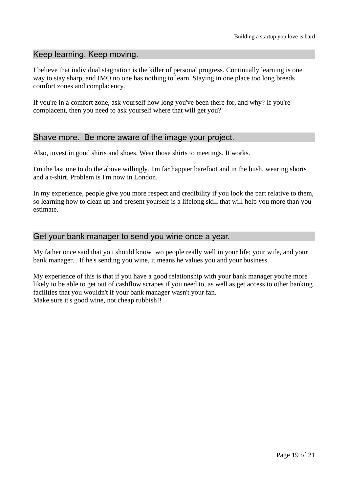## Keep learning. Keep moving.

I believe that individual stagnation is the killer of personal progress. Continually learning is one way to stay sharp, and IMO no one has nothing to learn. Staying in one place too long breeds comfort zones and complacency.

If you're in a comfort zone, ask yourself how long you've been there for, and why? If you're complacent, then you need to ask yourself where that will get you?

## Shave more. Be more aware of the image your project.

Also, invest in good shirts and shoes. Wear those shirts to meetings. It works.

I'm the last one to do the above willingly. I'm far happier barefoot and in the bush, wearing shorts and a t-shirt. Problem is I'm now in London.

In my experience, people give you more respect and credibility if you look the part relative to them, so learning how to clean up and present yourself is a lifelong skill that will help you more than you estimate.

## Get your bank manager to send you wine once a year.

My father once said that you should know two people really well in your life; your wife, and your bank manager... If he's sending you wine, it means he values you and your business.

My experience of this is that if you have a good relationship with your bank manager you're more likely to be able to get out of cashflow scrapes if you need to, as well as get access to other banking facilities that you wouldn't if your bank manager wasn't your fan. Make sure it's good wine, not cheap rubbish!!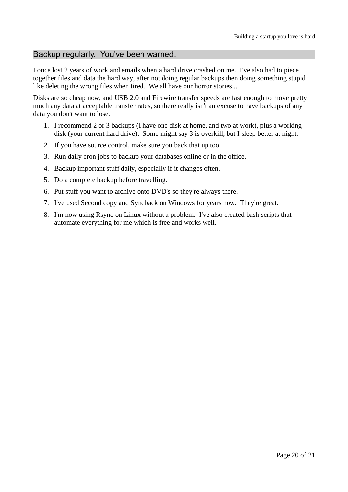## Backup regularly. You've been warned.

I once lost 2 years of work and emails when a hard drive crashed on me. I've also had to piece together files and data the hard way, after not doing regular backups then doing something stupid like deleting the wrong files when tired. We all have our horror stories...

Disks are so cheap now, and USB 2.0 and Firewire transfer speeds are fast enough to move pretty much any data at acceptable transfer rates, so there really isn't an excuse to have backups of any data you don't want to lose.

- 1. I recommend 2 or 3 backups (I have one disk at home, and two at work), plus a working disk (your current hard drive). Some might say 3 is overkill, but I sleep better at night.
- 2. If you have source control, make sure you back that up too.
- 3. Run daily cron jobs to backup your databases online or in the office.
- 4. Backup important stuff daily, especially if it changes often.
- 5. Do a complete backup before travelling.
- 6. Put stuff you want to archive onto DVD's so they're always there.
- 7. I've used Second copy and Syncback on Windows for years now. They're great.
- 8. I'm now using Rsync on Linux without a problem. I've also created bash scripts that automate everything for me which is free and works well.